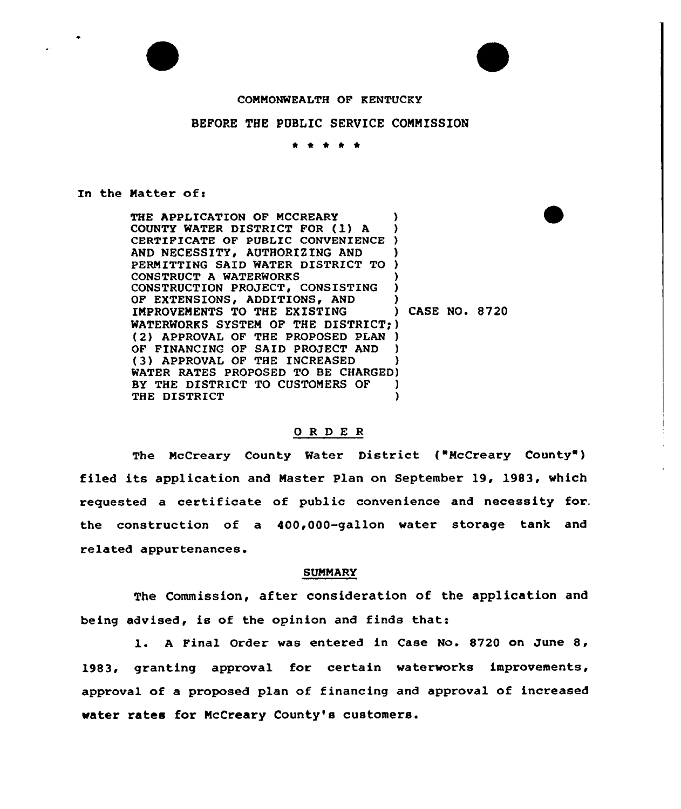

## COMMONWEALTH OF KENTUCKY

# BEFORE THE PUBLIC SERVICE CONNISSION

\* \* \* \* \*

#### In the Matter of:

THE APPLICATION OF MCCREARY COUNTY WATER DISTRICT FOR (1) A CERTIFICATE OF PUBLIC CONVENIENCE ) AND NECESSITY, AUTHORIZING AND PERMITTING SAID WATER DISTRICT TO CONSTRUCT A WATERWORKS CONSTRUCTION PROJECT, CONSISTING ) OF EXTENSIONS, ADDITIONS, AND (3)<br>IMPROVEMENTS TO THE EXISTING (3) CASE NO. 8720 IMPROVEMENTS TO THE EXISTING WATERWORKS SYSTEM OF THE DISTRICT)) (2) APPROVAL OF THE PROPOSED PLAN )<br>OF FINANCING OF SAID PROJECT AND ) OF FINANCING OF SAID PROJECT AND (3) APPROVAL OF THE INCREASED WATER RATES PROPOSED TO BE CHARGED) BY THE DISTRICT TO CUSTOMERS OF ) THE DISTRICT (1)

#### ORDER

The McCreary County Water District ("McCreary County") filed its application and Naster Plan on September 19, 1983, which requested a certificate of public convenience and necessity for. the construction of a 400,000-gallon water storage tank and related appurtenances.

### SUNNARY

The Commission, after consideration of the application and being advised, is of the opinion and finds that:

l. <sup>A</sup> Final Order was entered in Case No. <sup>8720</sup> on June 8, 1983, granting approval for certain waterworks improvements, approval of a proposed plan of financing and approval of increased water rates for NcCreary County's customers.